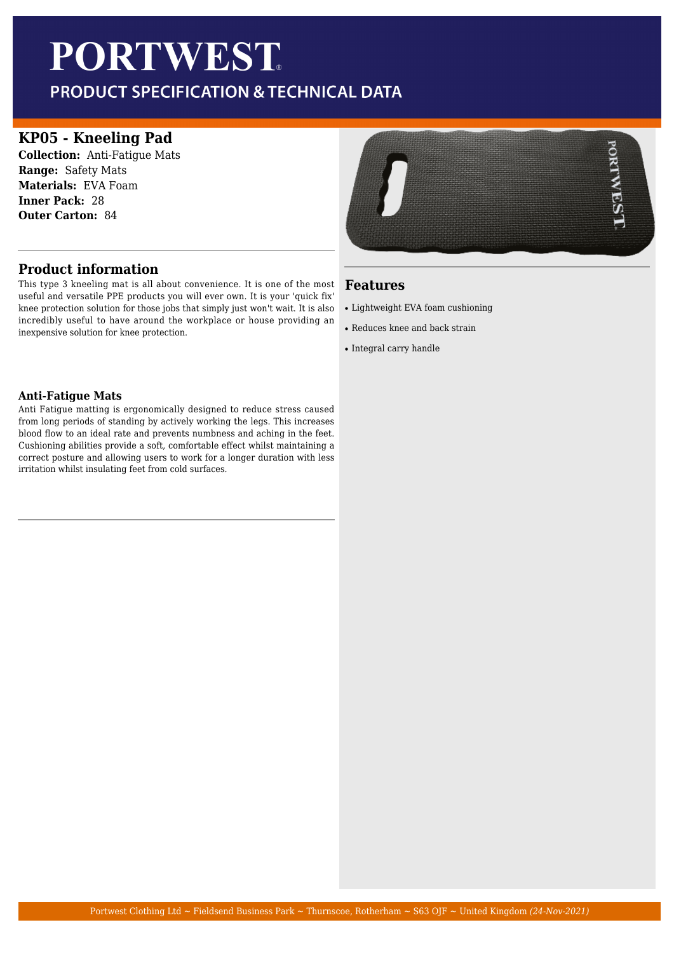# **PORTWEST**

PRODUCT SPECIFICATION & TECHNICAL DATA

## **KP05 - Kneeling Pad**

**Collection:** Anti-Fatigue Mats **Range:** Safety Mats **Materials:** EVA Foam **Inner Pack:** 28 **Outer Carton:** 84

## **Product information**

This type 3 kneeling mat is all about convenience. It is one of the most useful and versatile PPE products you will ever own. It is your 'quick fix' knee protection solution for those jobs that simply just won't wait. It is also incredibly useful to have around the workplace or house providing an inexpensive solution for knee protection.

#### **Anti-Fatigue Mats**

Anti Fatigue matting is ergonomically designed to reduce stress caused from long periods of standing by actively working the legs. This increases blood flow to an ideal rate and prevents numbness and aching in the feet. Cushioning abilities provide a soft, comfortable effect whilst maintaining a correct posture and allowing users to work for a longer duration with less irritation whilst insulating feet from cold surfaces.



#### **Features**

- Lightweight EVA foam cushioning
- Reduces knee and back strain
- Integral carry handle